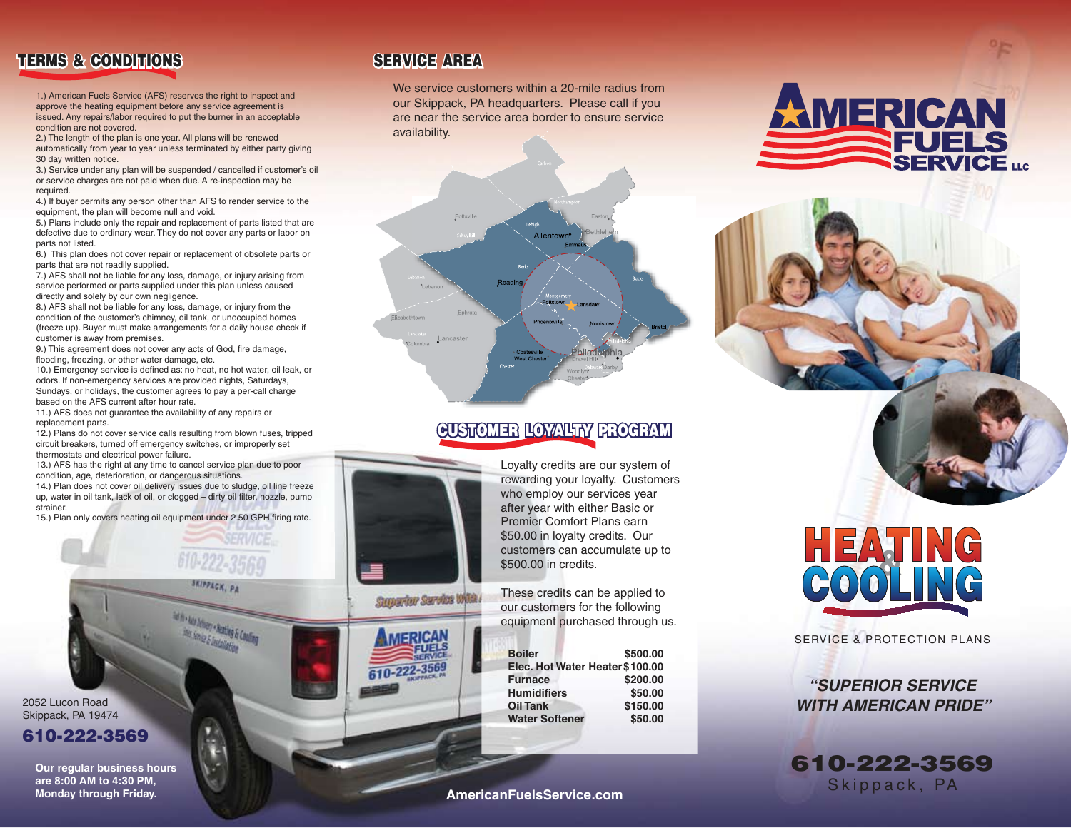## **TERMS & CONDITIONS SERVICE AREA**

1.) American Fuels Service (AFS) reserves the right to inspect and approve the heating equipment before any service agreement is issued. Any repairs/labor required to put the burner in an acceptable condition are not covered.

2.) The length of the plan is one year. All plans will be renewed automatically from year to year unless terminated by either party giving 30 day written notice.

3.) Service under any plan will be suspended / cancelled if customer's oil or service charges are not paid when due. A re-inspection may be required.

4.) If buyer permits any person other than AFS to render service to the equipment, the plan will become null and void.

5.) Plans include only the repair and replacement of parts listed that are defective due to ordinary wear. They do not cover any parts or labor on parts not listed.

6.) This plan does not cover repair or replacement of obsolete parts or parts that are not readily supplied.

7.) AFS shall not be liable for any loss, damage, or injury arising from service performed or parts supplied under this plan unless caused directly and solely by our own negligence.

8.) AFS shall not be liable for any loss, damage, or injury from the condition of the customer's chimney, oil tank, or unoccupied homes (freeze up). Buyer must make arrangements for a daily house check if customer is away from premises.

9.) This agreement does not cover any acts of God, fire damage, flooding, freezing, or other water damage, etc.

10.) Emergency service is defined as: no heat, no hot water, oil leak, or odors. If non-emergency services are provided nights, Saturdays, Sundays, or holidays, the customer agrees to pay a per-call charge based on the AFS current after hour rate.

11.) AFS does not guarantee the availability of any repairs or replacement parts.

12.) Plans do not cover service calls resulting from blown fuses, tripped circuit breakers, turned off emergency switches, or improperly set thermostats and electrical power failure.

13.) AFS has the right at any time to cancel service plan due to poor condition, age, deterioration, or dangerous situations.

14.) Plan does not cover oil delivery issues due to sludge, oil line freeze up, water in oil tank, lack of oil, or clogged – dirty oil filter, nozzle, pump strainer.

15.) Plan only covers heating oil equipment under 2.50 GPH firing rate.

<sup>1</sup> Ada Johney + Realing & Cooling<br><sup>Bet</sup> Smith & Lectures

2052 Lucon Road Skippack, PA 19474 **610-222-3569**

> **Our regular business hours are 8:00 AM to 4:30 PM, Monday through Friday.**

Superior Service With

We service customers within a 20-mile radius from our Skippack, PA headquarters. Please call if you are near the service area border to ensure service availability.



#### **CUSTOMER LOYALTY PROGRAM**

Loyalty credits are our system of rewarding your loyalty. Customers who employ our services year after year with either Basic or Premier Comfort Plans earn \$50.00 in loyalty credits. Our customers can accumulate up to \$500.00 in credits.

These credits can be applied to our customers for the following equipment purchased through us.

| <b>Boiler</b>                   | \$500.00 |
|---------------------------------|----------|
| Elec. Hot Water Heater \$100.00 |          |
| <b>Furnace</b>                  | \$200.00 |
| <b>Humidifiers</b>              | \$50.00  |
| <b>Oil Tank</b>                 | \$150.00 |
| <b>Water Softener</b>           | \$50.00  |
|                                 |          |

**AmericanFuelsService.com**





SERVICE & PROTECTION PLANS

*"SUPERIOR SERVICE WITH AMERICAN PRIDE"*

**610-222-3569** Skippack, PA